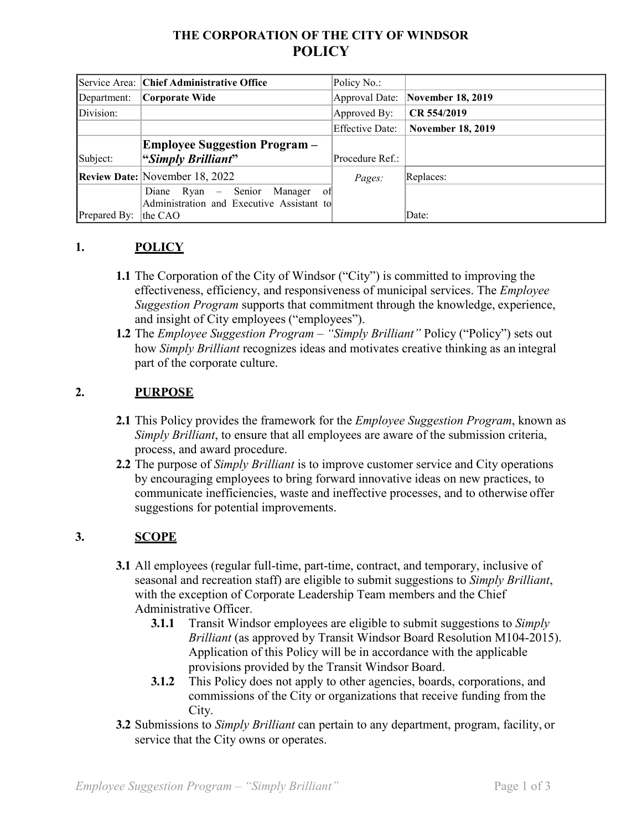# **THE CORPORATION OF THE CITY OF WINDSOR POLICY**

|              | Service Area: Chief Administrative Office | Policy No.:     |                                  |
|--------------|-------------------------------------------|-----------------|----------------------------------|
| Department:  | Corporate Wide                            |                 | Approval Date: November 18, 2019 |
| Division:    |                                           | Approved By:    | CR 554/2019                      |
|              |                                           | Effective Date: | <b>November 18, 2019</b>         |
|              | <b>Employee Suggestion Program</b> –      |                 |                                  |
| Subject:     | "Simply Brilliant"                        | Procedure Ref.: |                                  |
|              | <b>Review Date: November 18, 2022</b>     | Pages:          | Replaces:                        |
|              | Diane Ryan - Senior Manager<br>-of        |                 |                                  |
|              | Administration and Executive Assistant to |                 |                                  |
| Prepared By: | the CAO                                   |                 | Date:                            |

# **1. POLICY**

- **1.1** The Corporation of the City of Windsor ("City") is committed to improving the effectiveness, efficiency, and responsiveness of municipal services. The *Employee Suggestion Program* supports that commitment through the knowledge, experience, and insight of City employees ("employees").
- **1.2** The *Employee Suggestion Program – "Simply Brilliant"* Policy ("Policy") sets out how *Simply Brilliant* recognizes ideas and motivates creative thinking as an integral part of the corporate culture.

# **2. PURPOSE**

- **2.1** This Policy provides the framework for the *Employee Suggestion Program*, known as *Simply Brilliant*, to ensure that all employees are aware of the submission criteria, process, and award procedure.
- **2.2** The purpose of *Simply Brilliant* is to improve customer service and City operations by encouraging employees to bring forward innovative ideas on new practices, to communicate inefficiencies, waste and ineffective processes, and to otherwise offer suggestions for potential improvements.

### **3. SCOPE**

- **3.1** All employees (regular full-time, part-time, contract, and temporary, inclusive of seasonal and recreation staff) are eligible to submit suggestions to *Simply Brilliant*, with the exception of Corporate Leadership Team members and the Chief Administrative Officer.
	- **3.1.1** Transit Windsor employees are eligible to submit suggestions to *Simply Brilliant* (as approved by Transit Windsor Board Resolution M104-2015). Application of this Policy will be in accordance with the applicable provisions provided by the Transit Windsor Board.
	- **3.1.2** This Policy does not apply to other agencies, boards, corporations, and commissions of the City or organizations that receive funding from the City.
- **3.2** Submissions to *Simply Brilliant* can pertain to any department, program, facility, or service that the City owns or operates.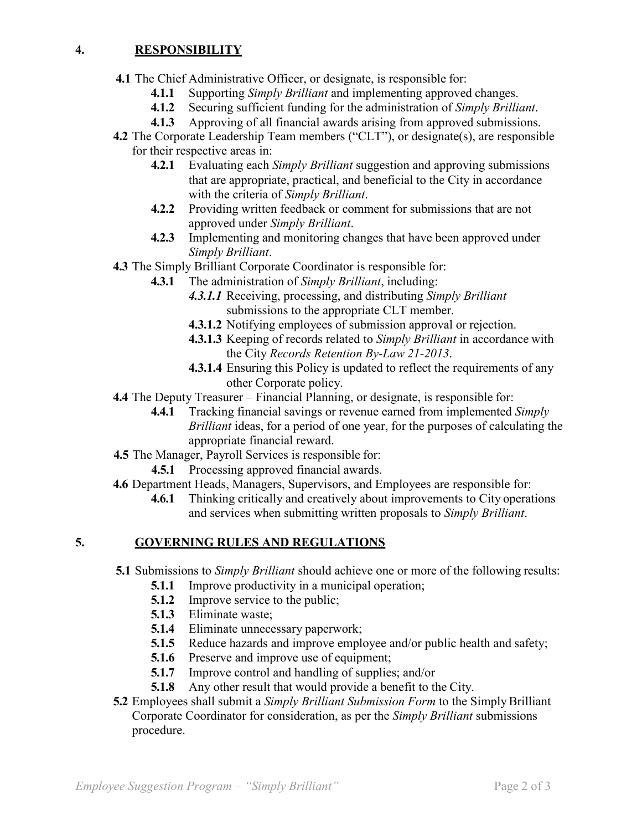#### **4. RESPONSIBILITY**

- **4.1** The Chief Administrative Officer, or designate, is responsible for:
	- **4.1.1** Supporting *Simply Brilliant* and implementing approved changes.
	- **4.1.2** Securing sufficient funding for the administration of *Simply Brilliant*.
	- **4.1.3** Approving of all financial awards arising from approved submissions.
- **4.2** The Corporate Leadership Team members ("CLT"), or designate(s), are responsible for their respective areas in:
	- **4.2.1** Evaluating each *Simply Brilliant* suggestion and approving submissions that are appropriate, practical, and beneficial to the City in accordance with the criteria of *Simply Brilliant*.
	- **4.2.2** Providing written feedback or comment for submissions that are not approved under *Simply Brilliant*.
	- **4.2.3** Implementing and monitoring changes that have been approved under *Simply Brilliant*.
- **4.3** The Simply Brilliant Corporate Coordinator is responsible for:
	- **4.3.1** The administration of *Simply Brilliant*, including:
		- *4.3.1.1* Receiving, processing, and distributing *Simply Brilliant* submissions to the appropriate CLT member.
		- **4.3.1.2** Notifying employees of submission approval or rejection.
		- **4.3.1.3** Keeping of records related to *Simply Brilliant* in accordance with the City *Records Retention By-Law 21-2013*.
		- **4.3.1.4** Ensuring this Policy is updated to reflect the requirements of any other Corporate policy.
- **4.4** The Deputy Treasurer Financial Planning, or designate, is responsible for:
	- **4.4.1** Tracking financial savings or revenue earned from implemented *Simply Brilliant* ideas, for a period of one year, for the purposes of calculating the appropriate financial reward.
- **4.5** The Manager, Payroll Services is responsible for:
	- **4.5.1** Processing approved financial awards.
- **4.6** Department Heads, Managers, Supervisors, and Employees are responsible for:
	- **4.6.1** Thinking critically and creatively about improvements to City operations and services when submitting written proposals to *Simply Brilliant*.

# **5. GOVERNING RULES AND REGULATIONS**

- **5.1** Submissions to *Simply Brilliant* should achieve one or more of the following results:
	- **5.1.1** Improve productivity in a municipal operation;
	- **5.1.2** Improve service to the public;
	- **5.1.3** Eliminate waste;
	- **5.1.4** Eliminate unnecessary paperwork;
	- **5.1.5** Reduce hazards and improve employee and/or public health and safety;
	- **5.1.6** Preserve and improve use of equipment;
	- **5.1.7** Improve control and handling of supplies; and/or
	- **5.1.8** Any other result that would provide a benefit to the City.
- **5.2** Employees shall submit a *Simply Brilliant Submission Form* to the Simply Brilliant Corporate Coordinator for consideration, as per the *Simply Brilliant* submissions procedure.